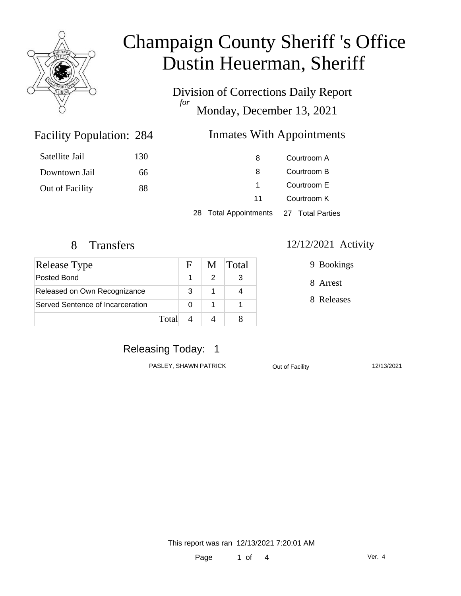

Division of Corrections Daily Report *for* Monday, December 13, 2021

#### **Inmates With Appointments**

| Satellite Jail  | 130 | 8                                      | Courtroom A |  |
|-----------------|-----|----------------------------------------|-------------|--|
| Downtown Jail   | 66  | 8                                      | Courtroom B |  |
| Out of Facility | 88  |                                        | Courtroom E |  |
|                 |     | 11                                     | Courtroom K |  |
|                 |     | 28 Total Appointments 27 Total Parties |             |  |

Facility Population: 284

| <b>Release Type</b>              |       | E. | M | <b>Total</b> |
|----------------------------------|-------|----|---|--------------|
| Posted Bond                      |       |    |   |              |
| Released on Own Recognizance     |       | 3  |   |              |
| Served Sentence of Incarceration |       |    |   |              |
|                                  | Total |    |   |              |

#### 8 Transfers 12/12/2021 Activity

9 Bookings

8 Arrest

8 Releases

### Releasing Today: 1

PASLEY, SHAWN PATRICK **Out of Facility** 12/13/2021

This report was ran 12/13/2021 7:20:01 AM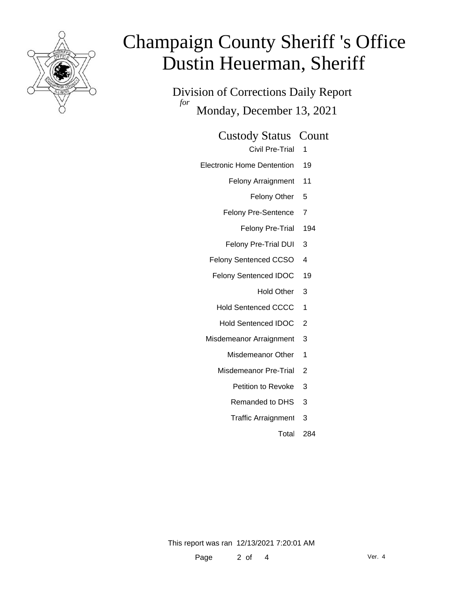

Division of Corrections Daily Report *for* Monday, December 13, 2021

Custody Status Count

Civil Pre-Trial 1

- Electronic Home Dentention 19
	- Felony Arraignment 11
		- Felony Other 5
	- Felony Pre-Sentence 7
		- Felony Pre-Trial 194
	- Felony Pre-Trial DUI 3
	- Felony Sentenced CCSO 4
	- Felony Sentenced IDOC 19
		- Hold Other 3
		- Hold Sentenced CCCC 1
		- Hold Sentenced IDOC 2
	- Misdemeanor Arraignment 3
		- Misdemeanor Other 1
		- Misdemeanor Pre-Trial 2
			- Petition to Revoke 3
			- Remanded to DHS 3
			- Traffic Arraignment 3

Total 284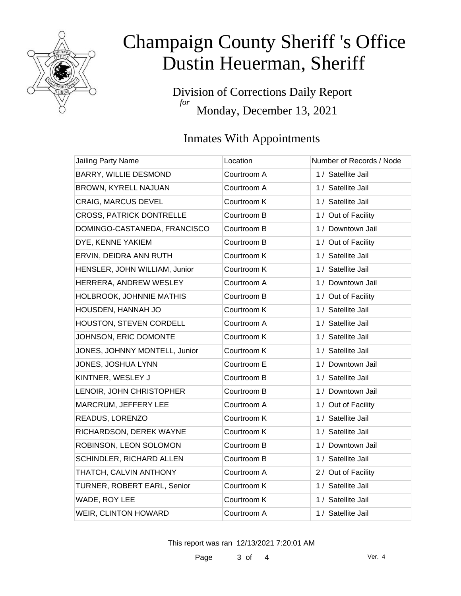

Division of Corrections Daily Report *for* Monday, December 13, 2021

## Inmates With Appointments

| Jailing Party Name              | Location    | Number of Records / Node |
|---------------------------------|-------------|--------------------------|
| <b>BARRY, WILLIE DESMOND</b>    | Courtroom A | 1 / Satellite Jail       |
| BROWN, KYRELL NAJUAN            | Courtroom A | 1 / Satellite Jail       |
| <b>CRAIG, MARCUS DEVEL</b>      | Courtroom K | 1 / Satellite Jail       |
| <b>CROSS, PATRICK DONTRELLE</b> | Courtroom B | 1 / Out of Facility      |
| DOMINGO-CASTANEDA, FRANCISCO    | Courtroom B | 1 / Downtown Jail        |
| DYE, KENNE YAKIEM               | Courtroom B | 1 / Out of Facility      |
| ERVIN, DEIDRA ANN RUTH          | Courtroom K | 1 / Satellite Jail       |
| HENSLER, JOHN WILLIAM, Junior   | Courtroom K | 1 / Satellite Jail       |
| HERRERA, ANDREW WESLEY          | Courtroom A | 1 / Downtown Jail        |
| HOLBROOK, JOHNNIE MATHIS        | Courtroom B | 1 / Out of Facility      |
| HOUSDEN, HANNAH JO              | Courtroom K | 1 / Satellite Jail       |
| HOUSTON, STEVEN CORDELL         | Courtroom A | 1 / Satellite Jail       |
| JOHNSON, ERIC DOMONTE           | Courtroom K | 1 / Satellite Jail       |
| JONES, JOHNNY MONTELL, Junior   | Courtroom K | 1 / Satellite Jail       |
| JONES, JOSHUA LYNN              | Courtroom E | 1 / Downtown Jail        |
| KINTNER, WESLEY J               | Courtroom B | 1 / Satellite Jail       |
| LENOIR, JOHN CHRISTOPHER        | Courtroom B | 1 / Downtown Jail        |
| MARCRUM, JEFFERY LEE            | Courtroom A | 1 / Out of Facility      |
| READUS, LORENZO                 | Courtroom K | 1 / Satellite Jail       |
| RICHARDSON, DEREK WAYNE         | Courtroom K | 1 / Satellite Jail       |
| ROBINSON, LEON SOLOMON          | Courtroom B | 1 / Downtown Jail        |
| SCHINDLER, RICHARD ALLEN        | Courtroom B | 1 / Satellite Jail       |
| THATCH, CALVIN ANTHONY          | Courtroom A | 2 / Out of Facility      |
| TURNER, ROBERT EARL, Senior     | Courtroom K | 1 / Satellite Jail       |
| WADE, ROY LEE                   | Courtroom K | 1 / Satellite Jail       |
| WEIR, CLINTON HOWARD            | Courtroom A | 1 / Satellite Jail       |

This report was ran 12/13/2021 7:20:01 AM